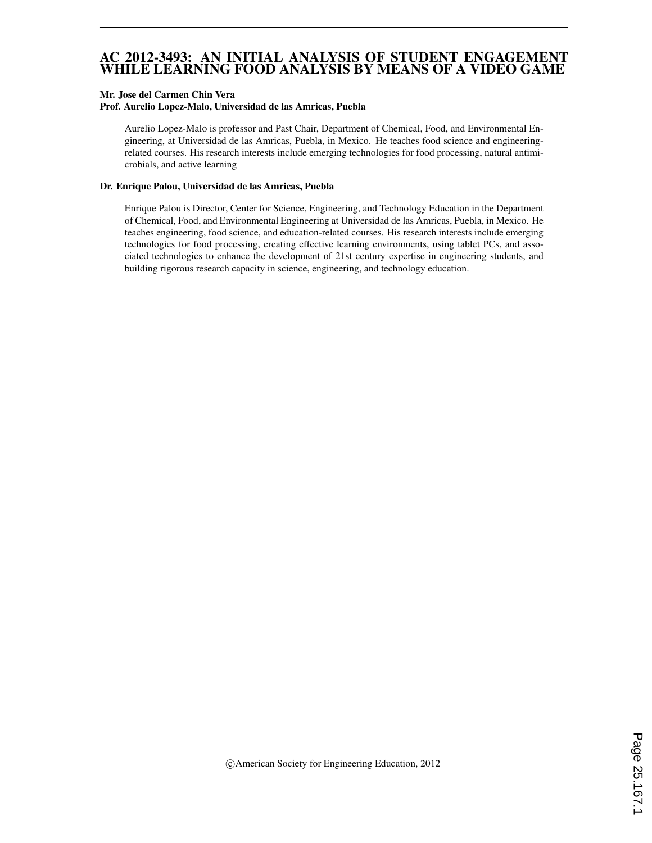### AC 2012-3493: AN INITIAL ANALYSIS OF STUDENT ENGAGEMENT WHILE LEARNING FOOD ANALYSIS BY MEANS OF A VIDEO GAME

#### Mr. Jose del Carmen Chin Vera

#### Prof. Aurelio Lopez-Malo, Universidad de las Amricas, Puebla

Aurelio Lopez-Malo is professor and Past Chair, Department of Chemical, Food, and Environmental Engineering, at Universidad de las Amricas, Puebla, in Mexico. He teaches food science and engineeringrelated courses. His research interests include emerging technologies for food processing, natural antimicrobials, and active learning

#### Dr. Enrique Palou, Universidad de las Amricas, Puebla

Enrique Palou is Director, Center for Science, Engineering, and Technology Education in the Department of Chemical, Food, and Environmental Engineering at Universidad de las Amricas, Puebla, in Mexico. He teaches engineering, food science, and education-related courses. His research interests include emerging technologies for food processing, creating effective learning environments, using tablet PCs, and associated technologies to enhance the development of 21st century expertise in engineering students, and building rigorous research capacity in science, engineering, and technology education.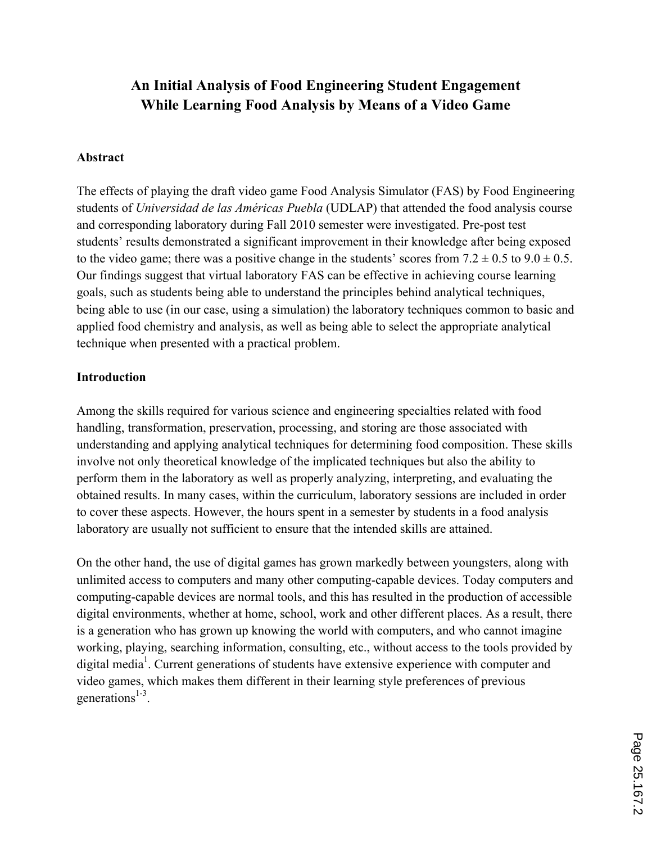# **An Initial Analysis of Food Engineering Student Engagement While Learning Food Analysis by Means of a Video Game**

### **Abstract**

The effects of playing the draft video game Food Analysis Simulator (FAS) by Food Engineering students of *Universidad de las Américas Puebla* (UDLAP) that attended the food analysis course and corresponding laboratory during Fall 2010 semester were investigated. Pre-post test students' results demonstrated a significant improvement in their knowledge after being exposed to the video game; there was a positive change in the students' scores from  $7.2 \pm 0.5$  to  $9.0 \pm 0.5$ . Our findings suggest that virtual laboratory FAS can be effective in achieving course learning goals, such as students being able to understand the principles behind analytical techniques, being able to use (in our case, using a simulation) the laboratory techniques common to basic and applied food chemistry and analysis, as well as being able to select the appropriate analytical technique when presented with a practical problem.

### **Introduction**

Among the skills required for various science and engineering specialties related with food handling, transformation, preservation, processing, and storing are those associated with understanding and applying analytical techniques for determining food composition. These skills involve not only theoretical knowledge of the implicated techniques but also the ability to perform them in the laboratory as well as properly analyzing, interpreting, and evaluating the obtained results. In many cases, within the curriculum, laboratory sessions are included in order to cover these aspects. However, the hours spent in a semester by students in a food analysis laboratory are usually not sufficient to ensure that the intended skills are attained.

On the other hand, the use of digital games has grown markedly between youngsters, along with unlimited access to computers and many other computing-capable devices. Today computers and computing-capable devices are normal tools, and this has resulted in the production of accessible digital environments, whether at home, school, work and other different places. As a result, there is a generation who has grown up knowing the world with computers, and who cannot imagine working, playing, searching information, consulting, etc., without access to the tools provided by digital media<sup>1</sup>. Current generations of students have extensive experience with computer and video games, which makes them different in their learning style preferences of previous generations $1-3$ .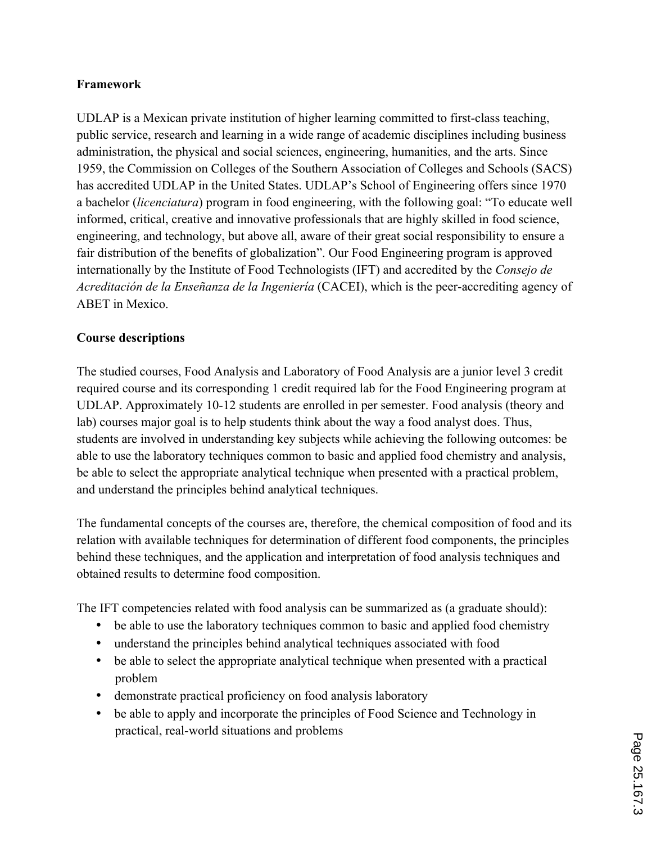### **Framework**

UDLAP is a Mexican private institution of higher learning committed to first-class teaching, public service, research and learning in a wide range of academic disciplines including business administration, the physical and social sciences, engineering, humanities, and the arts. Since 1959, the Commission on Colleges of the Southern Association of Colleges and Schools (SACS) has accredited UDLAP in the United States. UDLAP's School of Engineering offers since 1970 a bachelor (*licenciatura*) program in food engineering, with the following goal: "To educate well informed, critical, creative and innovative professionals that are highly skilled in food science, engineering, and technology, but above all, aware of their great social responsibility to ensure a fair distribution of the benefits of globalization". Our Food Engineering program is approved internationally by the Institute of Food Technologists (IFT) and accredited by the *Consejo de Acreditación de la Enseñanza de la Ingeniería* (CACEI), which is the peer-accrediting agency of ABET in Mexico.

## **Course descriptions**

The studied courses, Food Analysis and Laboratory of Food Analysis are a junior level 3 credit required course and its corresponding 1 credit required lab for the Food Engineering program at UDLAP. Approximately 10-12 students are enrolled in per semester. Food analysis (theory and lab) courses major goal is to help students think about the way a food analyst does. Thus, students are involved in understanding key subjects while achieving the following outcomes: be able to use the laboratory techniques common to basic and applied food chemistry and analysis, be able to select the appropriate analytical technique when presented with a practical problem, and understand the principles behind analytical techniques.

The fundamental concepts of the courses are, therefore, the chemical composition of food and its relation with available techniques for determination of different food components, the principles behind these techniques, and the application and interpretation of food analysis techniques and obtained results to determine food composition.

The IFT competencies related with food analysis can be summarized as (a graduate should):

- be able to use the laboratory techniques common to basic and applied food chemistry
- understand the principles behind analytical techniques associated with food
- be able to select the appropriate analytical technique when presented with a practical problem
- demonstrate practical proficiency on food analysis laboratory
- be able to apply and incorporate the principles of Food Science and Technology in practical, real-world situations and problems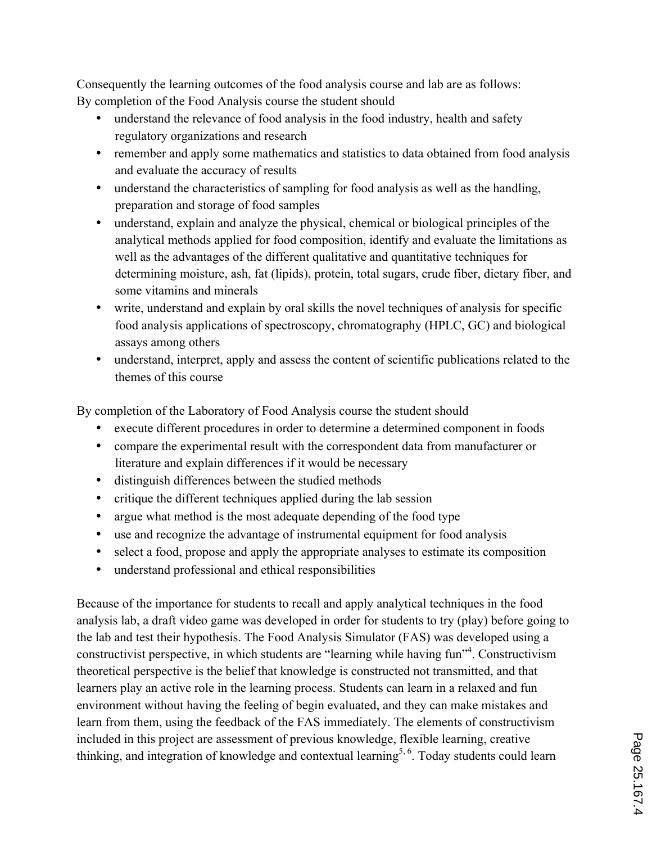Consequently the learning outcomes of the food analysis course and lab are as follows: By completion of the Food Analysis course the student should

- understand the relevance of food analysis in the food industry, health and safety regulatory organizations and research
- remember and apply some mathematics and statistics to data obtained from food analysis and evaluate the accuracy of results
- understand the characteristics of sampling for food analysis as well as the handling, preparation and storage of food samples
- understand, explain and analyze the physical, chemical or biological principles of the analytical methods applied for food composition, identify and evaluate the limitations as well as the advantages of the different qualitative and quantitative techniques for determining moisture, ash, fat (lipids), protein, total sugars, crude fiber, dietary fiber, and some vitamins and minerals
- write, understand and explain by oral skills the novel techniques of analysis for specific food analysis applications of spectroscopy, chromatography (HPLC, GC) and biological assays among others
- understand, interpret, apply and assess the content of scientific publications related to the themes of this course

By completion of the Laboratory of Food Analysis course the student should

- execute different procedures in order to determine a determined component in foods
- compare the experimental result with the correspondent data from manufacturer or literature and explain differences if it would be necessary
- distinguish differences between the studied methods
- critique the different techniques applied during the lab session
- argue what method is the most adequate depending of the food type
- use and recognize the advantage of instrumental equipment for food analysis
- select a food, propose and apply the appropriate analyses to estimate its composition
- understand professional and ethical responsibilities

Because of the importance for students to recall and apply analytical techniques in the food analysis lab, a draft video game was developed in order for students to try (play) before going to the lab and test their hypothesis. The Food Analysis Simulator (FAS) was developed using a constructivist perspective, in which students are "learning while having fun"<sup>4</sup>. Constructivism theoretical perspective is the belief that knowledge is constructed not transmitted, and that learners play an active role in the learning process. Students can learn in a relaxed and fun environment without having the feeling of begin evaluated, and they can make mistakes and learn from them, using the feedback of the FAS immediately. The elements of constructivism included in this project are assessment of previous knowledge, flexible learning, creative thinking, and integration of knowledge and contextual learning<sup>5, 6</sup>. Today students could learn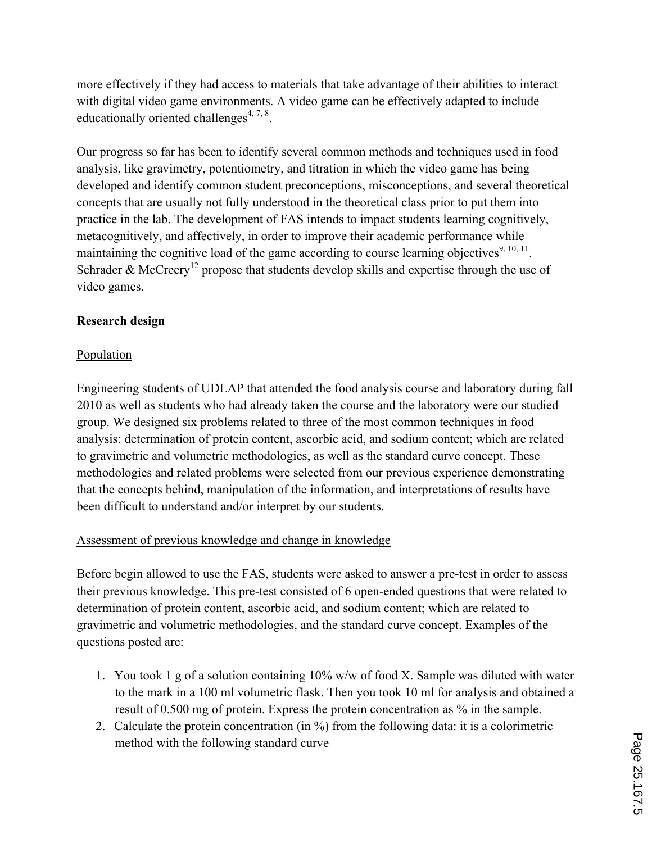more effectively if they had access to materials that take advantage of their abilities to interact with digital video game environments. A video game can be effectively adapted to include educationally oriented challenges<sup>4, 7, 8</sup>.

Our progress so far has been to identify several common methods and techniques used in food analysis, like gravimetry, potentiometry, and titration in which the video game has being developed and identify common student preconceptions, misconceptions, and several theoretical concepts that are usually not fully understood in the theoretical class prior to put them into practice in the lab. The development of FAS intends to impact students learning cognitively, metacognitively, and affectively, in order to improve their academic performance while maintaining the cognitive load of the game according to course learning objectives<sup>9, 10, 11</sup>. Schrader & McCreery<sup>12</sup> propose that students develop skills and expertise through the use of video games.

## **Research design**

## Population

Engineering students of UDLAP that attended the food analysis course and laboratory during fall 2010 as well as students who had already taken the course and the laboratory were our studied group. We designed six problems related to three of the most common techniques in food analysis: determination of protein content, ascorbic acid, and sodium content; which are related to gravimetric and volumetric methodologies, as well as the standard curve concept. These methodologies and related problems were selected from our previous experience demonstrating that the concepts behind, manipulation of the information, and interpretations of results have been difficult to understand and/or interpret by our students.

## Assessment of previous knowledge and change in knowledge

Before begin allowed to use the FAS, students were asked to answer a pre-test in order to assess their previous knowledge. This pre-test consisted of 6 open-ended questions that were related to determination of protein content, ascorbic acid, and sodium content; which are related to gravimetric and volumetric methodologies, and the standard curve concept. Examples of the questions posted are:

- 1. You took 1 g of a solution containing  $10\%$  w/w of food X. Sample was diluted with water to the mark in a 100 ml volumetric flask. Then you took 10 ml for analysis and obtained a result of 0.500 mg of protein. Express the protein concentration as % in the sample.
- 2. Calculate the protein concentration (in %) from the following data: it is a colorimetric method with the following standard curve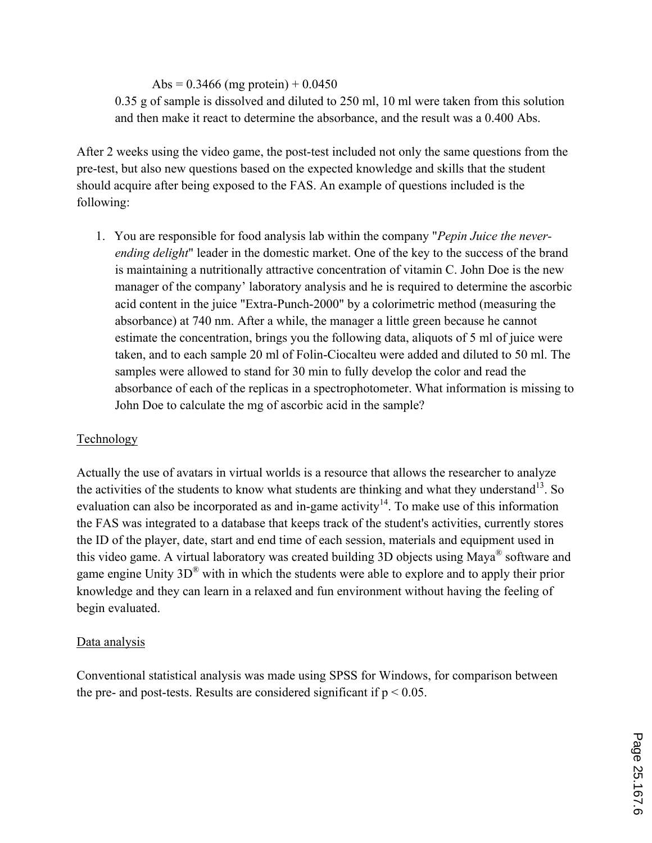## Abs =  $0.3466$  (mg protein) +  $0.0450$

0.35 g of sample is dissolved and diluted to 250 ml, 10 ml were taken from this solution and then make it react to determine the absorbance, and the result was a 0.400 Abs.

After 2 weeks using the video game, the post-test included not only the same questions from the pre-test, but also new questions based on the expected knowledge and skills that the student should acquire after being exposed to the FAS. An example of questions included is the following:

1. You are responsible for food analysis lab within the company "*Pepin Juice the neverending delight*" leader in the domestic market. One of the key to the success of the brand is maintaining a nutritionally attractive concentration of vitamin C. John Doe is the new manager of the company' laboratory analysis and he is required to determine the ascorbic acid content in the juice "Extra-Punch-2000" by a colorimetric method (measuring the absorbance) at 740 nm. After a while, the manager a little green because he cannot estimate the concentration, brings you the following data, aliquots of 5 ml of juice were taken, and to each sample 20 ml of Folin-Ciocalteu were added and diluted to 50 ml. The samples were allowed to stand for 30 min to fully develop the color and read the absorbance of each of the replicas in a spectrophotometer. What information is missing to John Doe to calculate the mg of ascorbic acid in the sample?

## Technology

Actually the use of avatars in virtual worlds is a resource that allows the researcher to analyze the activities of the students to know what students are thinking and what they understand<sup>13</sup>. So evaluation can also be incorporated as and in-game activity<sup>14</sup>. To make use of this information the FAS was integrated to a database that keeps track of the student's activities, currently stores the ID of the player, date, start and end time of each session, materials and equipment used in this video game. A virtual laboratory was created building 3D objects using Maya® software and game engine Unity 3D® with in which the students were able to explore and to apply their prior knowledge and they can learn in a relaxed and fun environment without having the feeling of begin evaluated.

## Data analysis

Conventional statistical analysis was made using SPSS for Windows, for comparison between the pre- and post-tests. Results are considered significant if  $p < 0.05$ .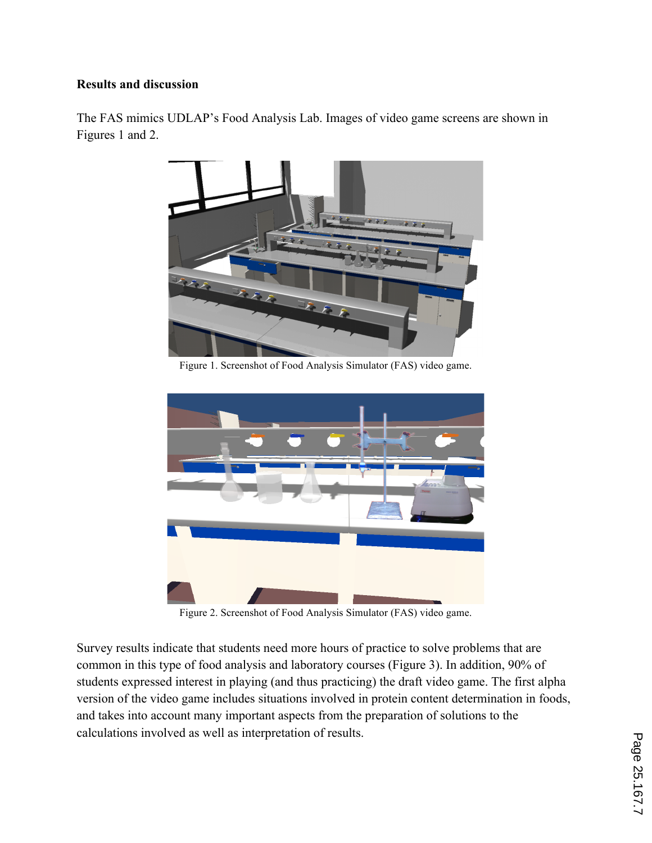## **Results and discussion**

The FAS mimics UDLAP's Food Analysis Lab. Images of video game screens are shown in Figures 1 and 2.



Figure 1. Screenshot of Food Analysis Simulator (FAS) video game.



Figure 2. Screenshot of Food Analysis Simulator (FAS) video game.

Survey results indicate that students need more hours of practice to solve problems that are common in this type of food analysis and laboratory courses (Figure 3). In addition, 90% of students expressed interest in playing (and thus practicing) the draft video game. The first alpha version of the video game includes situations involved in protein content determination in foods, and takes into account many important aspects from the preparation of solutions to the calculations involved as well as interpretation of results.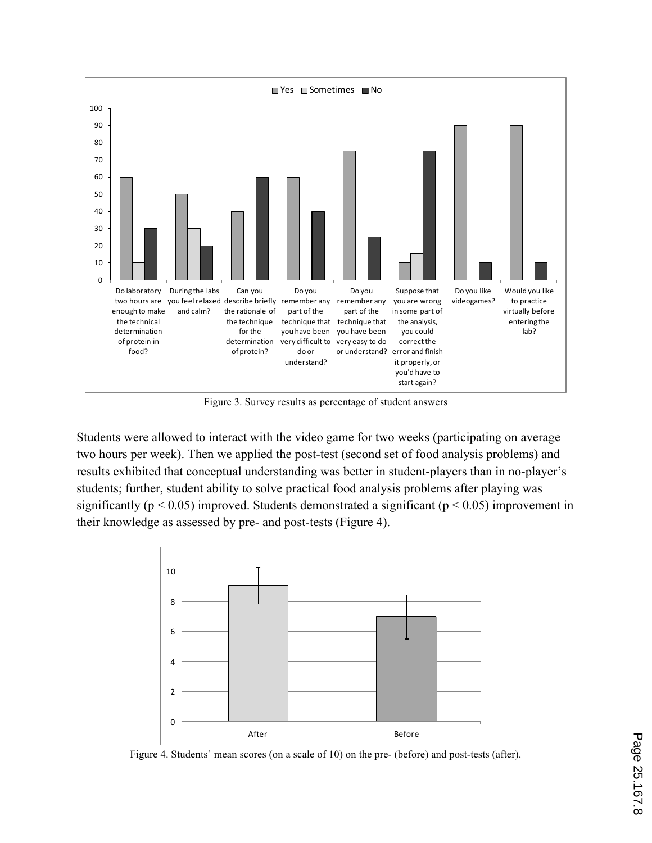

Figure 3. Survey results as percentage of student answers

Students were allowed to interact with the video game for two weeks (participating on average two hours per week). Then we applied the post-test (second set of food analysis problems) and results exhibited that conceptual understanding was better in student-players than in no-player's students; further, student ability to solve practical food analysis problems after playing was significantly ( $p < 0.05$ ) improved. Students demonstrated a significant ( $p < 0.05$ ) improvement in their knowledge as assessed by pre- and post-tests (Figure 4).



Figure 4. Students' mean scores (on a scale of 10) on the pre- (before) and post-tests (after).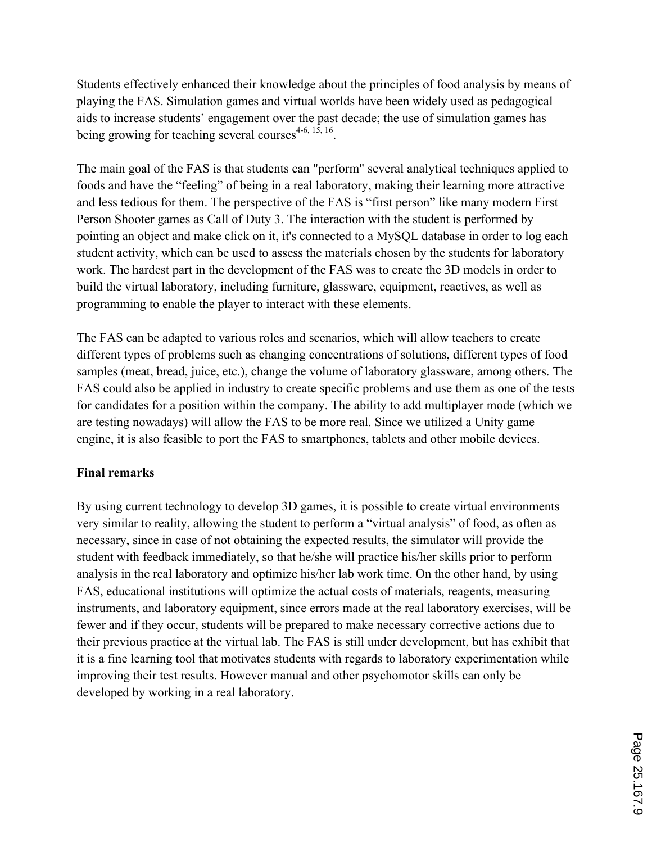Students effectively enhanced their knowledge about the principles of food analysis by means of playing the FAS. Simulation games and virtual worlds have been widely used as pedagogical aids to increase students' engagement over the past decade; the use of simulation games has being growing for teaching several courses $4-6$ ,  $15$ ,  $16$ .

The main goal of the FAS is that students can "perform" several analytical techniques applied to foods and have the "feeling" of being in a real laboratory, making their learning more attractive and less tedious for them. The perspective of the FAS is "first person" like many modern First Person Shooter games as Call of Duty 3. The interaction with the student is performed by pointing an object and make click on it, it's connected to a MySQL database in order to log each student activity, which can be used to assess the materials chosen by the students for laboratory work. The hardest part in the development of the FAS was to create the 3D models in order to build the virtual laboratory, including furniture, glassware, equipment, reactives, as well as programming to enable the player to interact with these elements.

The FAS can be adapted to various roles and scenarios, which will allow teachers to create different types of problems such as changing concentrations of solutions, different types of food samples (meat, bread, juice, etc.), change the volume of laboratory glassware, among others. The FAS could also be applied in industry to create specific problems and use them as one of the tests for candidates for a position within the company. The ability to add multiplayer mode (which we are testing nowadays) will allow the FAS to be more real. Since we utilized a Unity game engine, it is also feasible to port the FAS to smartphones, tablets and other mobile devices.

## **Final remarks**

By using current technology to develop 3D games, it is possible to create virtual environments very similar to reality, allowing the student to perform a "virtual analysis" of food, as often as necessary, since in case of not obtaining the expected results, the simulator will provide the student with feedback immediately, so that he/she will practice his/her skills prior to perform analysis in the real laboratory and optimize his/her lab work time. On the other hand, by using FAS, educational institutions will optimize the actual costs of materials, reagents, measuring instruments, and laboratory equipment, since errors made at the real laboratory exercises, will be fewer and if they occur, students will be prepared to make necessary corrective actions due to their previous practice at the virtual lab. The FAS is still under development, but has exhibit that it is a fine learning tool that motivates students with regards to laboratory experimentation while improving their test results. However manual and other psychomotor skills can only be developed by working in a real laboratory.